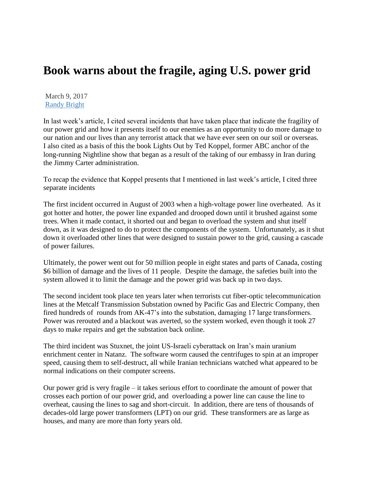## **Book warns about the fragile, aging U.S. power grid**

March 9, 2017 [Randy Bright](http://tulsabeacon.com/author/randy-bright/)

In last week's article, I cited several incidents that have taken place that indicate the fragility of our power grid and how it presents itself to our enemies as an opportunity to do more damage to our nation and our lives than any terrorist attack that we have ever seen on our soil or overseas. I also cited as a basis of this the book Lights Out by Ted Koppel, former ABC anchor of the long-running Nightline show that began as a result of the taking of our embassy in Iran during the Jimmy Carter administration.

To recap the evidence that Koppel presents that I mentioned in last week's article, I cited three separate incidents

The first incident occurred in August of 2003 when a high-voltage power line overheated. As it got hotter and hotter, the power line expanded and drooped down until it brushed against some trees. When it made contact, it shorted out and began to overload the system and shut itself down, as it was designed to do to protect the components of the system. Unfortunately, as it shut down it overloaded other lines that were designed to sustain power to the grid, causing a cascade of power failures.

Ultimately, the power went out for 50 million people in eight states and parts of Canada, costing \$6 billion of damage and the lives of 11 people. Despite the damage, the safeties built into the system allowed it to limit the damage and the power grid was back up in two days.

The second incident took place ten years later when terrorists cut fiber-optic telecommunication lines at the Metcalf Transmission Substation owned by Pacific Gas and Electric Company, then fired hundreds of rounds from AK-47's into the substation, damaging 17 large transformers. Power was rerouted and a blackout was averted, so the system worked, even though it took 27 days to make repairs and get the substation back online.

The third incident was Stuxnet, the joint US-Israeli cyberattack on Iran's main uranium enrichment center in Natanz. The software worm caused the centrifuges to spin at an improper speed, causing them to self-destruct, all while Iranian technicians watched what appeared to be normal indications on their computer screens.

Our power grid is very fragile – it takes serious effort to coordinate the amount of power that crosses each portion of our power grid, and overloading a power line can cause the line to overheat, causing the lines to sag and short-circuit. In addition, there are tens of thousands of decades-old large power transformers (LPT) on our grid. These transformers are as large as houses, and many are more than forty years old.